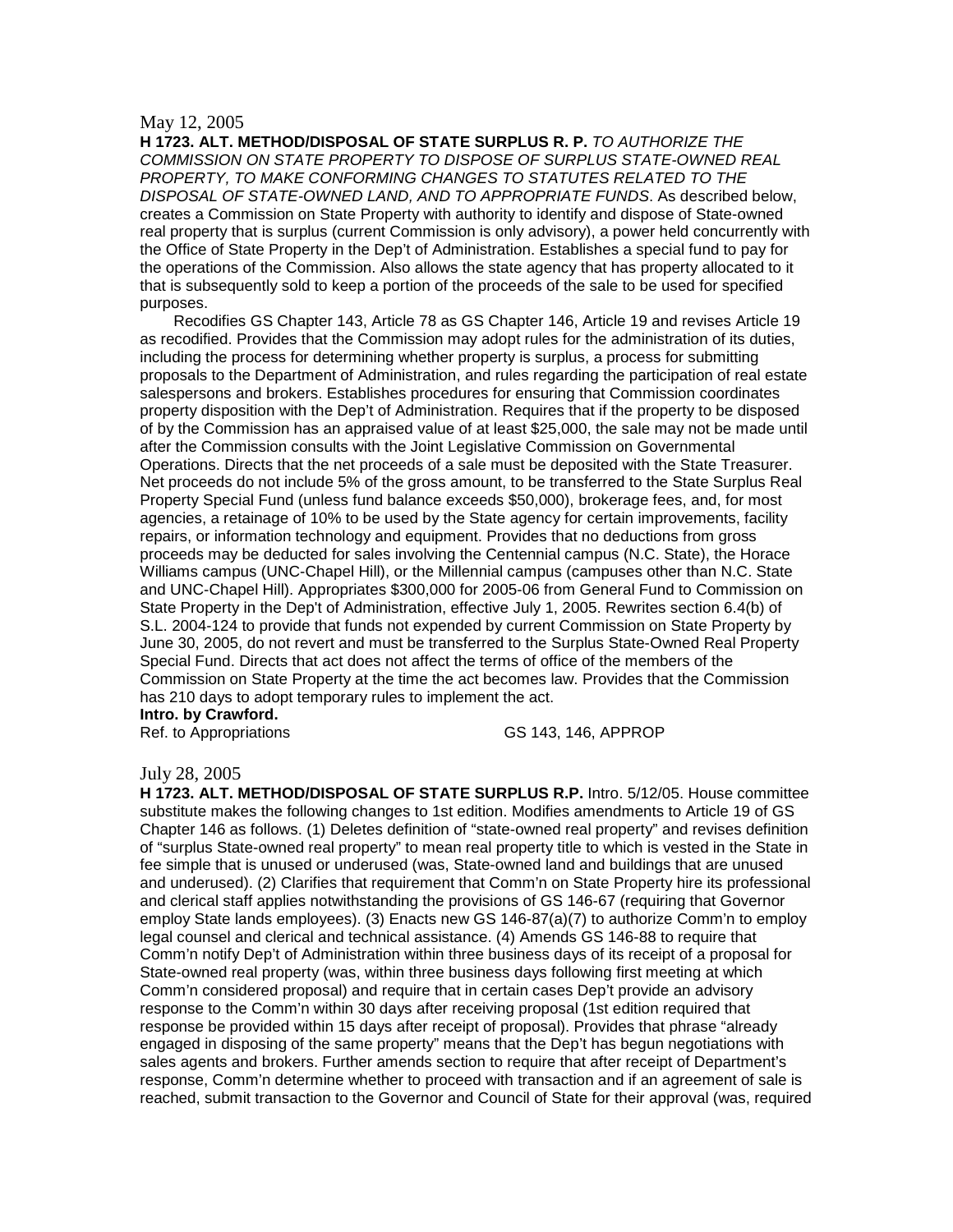## May 12, 2005

**H 1723. ALT. METHOD/DISPOSAL OF STATE SURPLUS R. P.** *TO AUTHORIZE THE COMMISSION ON STATE PROPERTY TO DISPOSE OF SURPLUS STATE-OWNED REAL PROPERTY, TO MAKE CONFORMING CHANGES TO STATUTES RELATED TO THE DISPOSAL OF STATE-OWNED LAND, AND TO APPROPRIATE FUNDS*. As described below, creates a Commission on State Property with authority to identify and dispose of State-owned real property that is surplus (current Commission is only advisory), a power held concurrently with the Office of State Property in the Dep't of Administration. Establishes a special fund to pay for the operations of the Commission. Also allows the state agency that has property allocated to it that is subsequently sold to keep a portion of the proceeds of the sale to be used for specified purposes.

Recodifies GS Chapter 143, Article 78 as GS Chapter 146, Article 19 and revises Article 19 as recodified. Provides that the Commission may adopt rules for the administration of its duties, including the process for determining whether property is surplus, a process for submitting proposals to the Department of Administration, and rules regarding the participation of real estate salespersons and brokers. Establishes procedures for ensuring that Commission coordinates property disposition with the Dep't of Administration. Requires that if the property to be disposed of by the Commission has an appraised value of at least \$25,000, the sale may not be made until after the Commission consults with the Joint Legislative Commission on Governmental Operations. Directs that the net proceeds of a sale must be deposited with the State Treasurer. Net proceeds do not include 5% of the gross amount, to be transferred to the State Surplus Real Property Special Fund (unless fund balance exceeds \$50,000), brokerage fees, and, for most agencies, a retainage of 10% to be used by the State agency for certain improvements, facility repairs, or information technology and equipment. Provides that no deductions from gross proceeds may be deducted for sales involving the Centennial campus (N.C. State), the Horace Williams campus (UNC-Chapel Hill), or the Millennial campus (campuses other than N.C. State and UNC-Chapel Hill). Appropriates \$300,000 for 2005-06 from General Fund to Commission on State Property in the Dep't of Administration, effective July 1, 2005. Rewrites section 6.4(b) of S.L. 2004-124 to provide that funds not expended by current Commission on State Property by June 30, 2005, do not revert and must be transferred to the Surplus State-Owned Real Property Special Fund. Directs that act does not affect the terms of office of the members of the Commission on State Property at the time the act becomes law. Provides that the Commission has 210 days to adopt temporary rules to implement the act.

# **Intro. by Crawford.**

Ref. to Appropriations GS 143, 146, APPROP

## July 28, 2005

**H 1723. ALT. METHOD/DISPOSAL OF STATE SURPLUS R.P.** Intro. 5/12/05. House committee substitute makes the following changes to 1st edition. Modifies amendments to Article 19 of GS Chapter 146 as follows. (1) Deletes definition of "state-owned real property" and revises definition of "surplus State-owned real property" to mean real property title to which is vested in the State in fee simple that is unused or underused (was, State-owned land and buildings that are unused and underused). (2) Clarifies that requirement that Comm'n on State Property hire its professional and clerical staff applies notwithstanding the provisions of GS 146-67 (requiring that Governor employ State lands employees). (3) Enacts new GS 146-87(a)(7) to authorize Comm'n to employ legal counsel and clerical and technical assistance. (4) Amends GS 146-88 to require that Comm'n notify Dep't of Administration within three business days of its receipt of a proposal for State-owned real property (was, within three business days following first meeting at which Comm'n considered proposal) and require that in certain cases Dep't provide an advisory response to the Comm'n within 30 days after receiving proposal (1st edition required that response be provided within 15 days after receipt of proposal). Provides that phrase "already engaged in disposing of the same property" means that the Dep't has begun negotiations with sales agents and brokers. Further amends section to require that after receipt of Department's response, Comm'n determine whether to proceed with transaction and if an agreement of sale is reached, submit transaction to the Governor and Council of State for their approval (was, required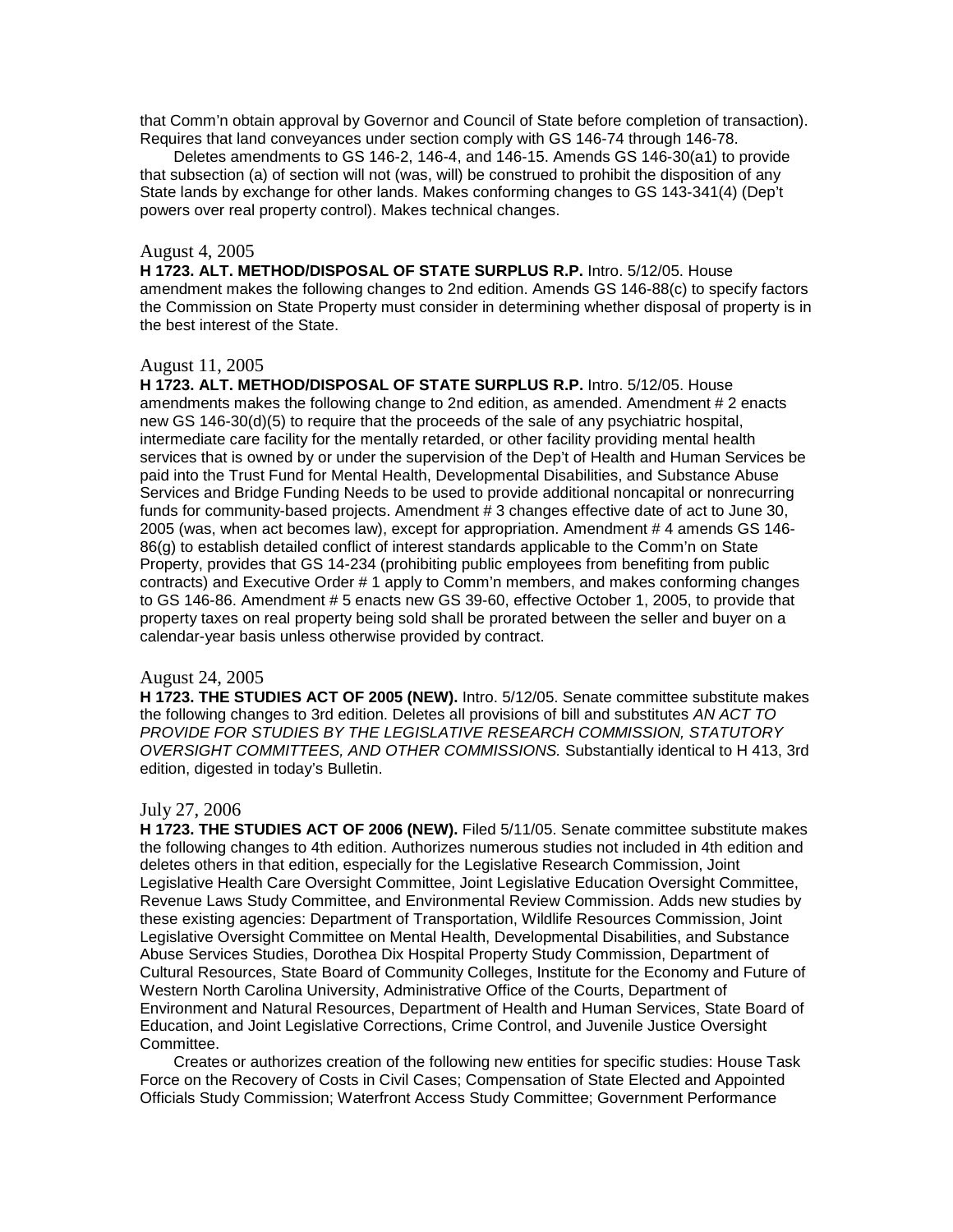that Comm'n obtain approval by Governor and Council of State before completion of transaction). Requires that land conveyances under section comply with GS 146-74 through 146-78.

Deletes amendments to GS 146-2, 146-4, and 146-15. Amends GS 146-30(a1) to provide that subsection (a) of section will not (was, will) be construed to prohibit the disposition of any State lands by exchange for other lands. Makes conforming changes to GS 143-341(4) (Dep't powers over real property control). Makes technical changes.

## August 4, 2005

**H 1723. ALT. METHOD/DISPOSAL OF STATE SURPLUS R.P.** Intro. 5/12/05. House amendment makes the following changes to 2nd edition. Amends GS 146-88(c) to specify factors the Commission on State Property must consider in determining whether disposal of property is in the best interest of the State.

### August 11, 2005

**H 1723. ALT. METHOD/DISPOSAL OF STATE SURPLUS R.P.** Intro. 5/12/05. House amendments makes the following change to 2nd edition, as amended. Amendment # 2 enacts new GS 146-30(d)(5) to require that the proceeds of the sale of any psychiatric hospital, intermediate care facility for the mentally retarded, or other facility providing mental health services that is owned by or under the supervision of the Dep't of Health and Human Services be paid into the Trust Fund for Mental Health, Developmental Disabilities, and Substance Abuse Services and Bridge Funding Needs to be used to provide additional noncapital or nonrecurring funds for community-based projects. Amendment # 3 changes effective date of act to June 30, 2005 (was, when act becomes law), except for appropriation. Amendment # 4 amends GS 146- 86(g) to establish detailed conflict of interest standards applicable to the Comm'n on State Property, provides that GS 14-234 (prohibiting public employees from benefiting from public contracts) and Executive Order # 1 apply to Comm'n members, and makes conforming changes to GS 146-86. Amendment # 5 enacts new GS 39-60, effective October 1, 2005, to provide that property taxes on real property being sold shall be prorated between the seller and buyer on a calendar-year basis unless otherwise provided by contract.

### August 24, 2005

**H 1723. THE STUDIES ACT OF 2005 (NEW).** Intro. 5/12/05. Senate committee substitute makes the following changes to 3rd edition. Deletes all provisions of bill and substitutes *AN ACT TO PROVIDE FOR STUDIES BY THE LEGISLATIVE RESEARCH COMMISSION, STATUTORY OVERSIGHT COMMITTEES, AND OTHER COMMISSIONS.* Substantially identical to H 413, 3rd edition, digested in today's Bulletin.

### July 27, 2006

**H 1723. THE STUDIES ACT OF 2006 (NEW).** Filed 5/11/05. Senate committee substitute makes the following changes to 4th edition. Authorizes numerous studies not included in 4th edition and deletes others in that edition, especially for the Legislative Research Commission, Joint Legislative Health Care Oversight Committee, Joint Legislative Education Oversight Committee, Revenue Laws Study Committee, and Environmental Review Commission. Adds new studies by these existing agencies: Department of Transportation, Wildlife Resources Commission, Joint Legislative Oversight Committee on Mental Health, Developmental Disabilities, and Substance Abuse Services Studies, Dorothea Dix Hospital Property Study Commission, Department of Cultural Resources, State Board of Community Colleges, Institute for the Economy and Future of Western North Carolina University, Administrative Office of the Courts, Department of Environment and Natural Resources, Department of Health and Human Services, State Board of Education, and Joint Legislative Corrections, Crime Control, and Juvenile Justice Oversight Committee.

Creates or authorizes creation of the following new entities for specific studies: House Task Force on the Recovery of Costs in Civil Cases; Compensation of State Elected and Appointed Officials Study Commission; Waterfront Access Study Committee; Government Performance